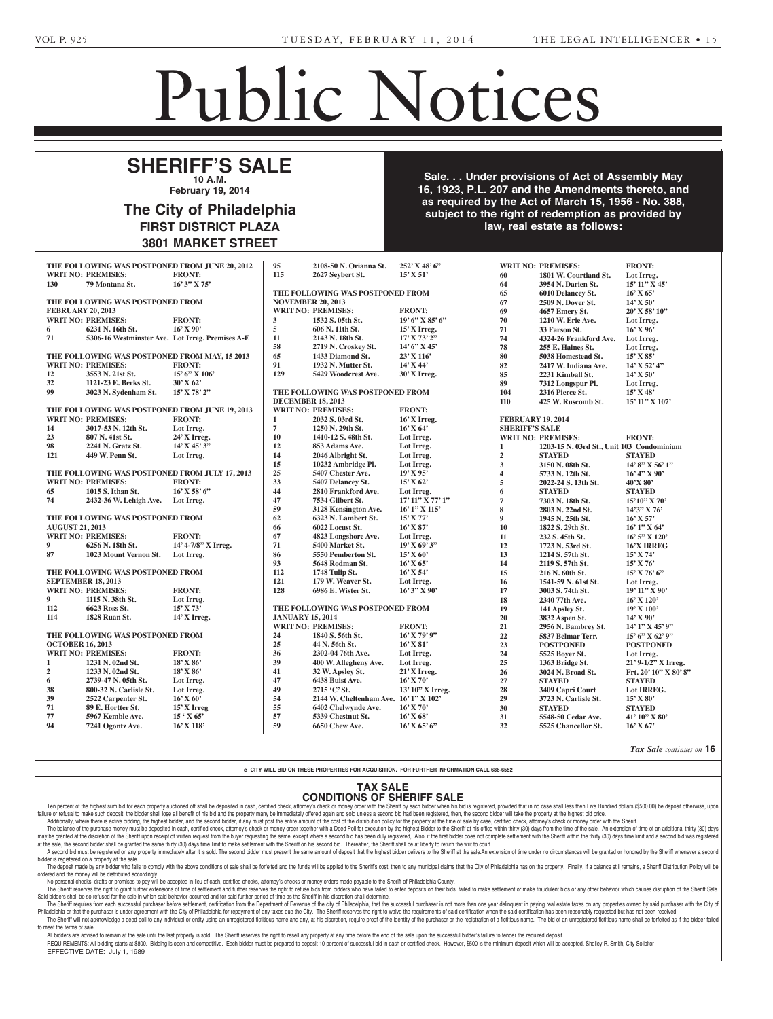## Public Notices

Non-Profit Charter

nized under the 1988 Nonprofit Corporation Law of the Common-

## $\overline{\phantom{a}}$ **10 A.M. February 19, 2014** Berger, Esquire, 7207 Rising Sun **SHERIFF'S SALE**

#### Section 3162 of the Probate, **Estate Code The City of Philadelphia** of June 30, 1972 (Act No. 164) FIRST DISTRICT PLAZA of grant of letters to contain the name and address of the **3801 MARKET STREET** personal representatives. The City of Philadelphia FIRST DISTRICT PLAZA 2-11-3

NOTICE is hereby given that and  $\mathbf{e}_{\mathbf{a}}$ application will be made to the made to the made to the made to the made to the made to the made to the made t<br>The made to the made to the made to the made to the made to the made to the made to the made to the made to th **16, 1923, P.L. 207 and the Amendments thereto, and** monwealth of Pennsylvania, at Harrisburg, Pa on after Februari and after Februari and after  $\mathbf{a}$ **Inc.**, a corporation of subject to the right of redemption as provided by taining a charter of a proposed nonprofit corporation to be orga- $N_{\rm max}$  is the derivation of  $\Lambda$ . Sale. . . Under provisions of Act of Assembly May Law of 1988, **Veolia Water North America Operating Services, as required by the Act of March 15, 1956 - No. 388,** Delaware with principal office at law, real estate as follows:

Withdrawal Notice

| THE FOLLOWING WAS POSTPONED FROM JUNE 20, 2012 |                                                  |                     | 95                       | 2108-50 N. Orianna St.                | 252' X 48' 6"              |                          | <b>WRIT NO: PREMISES:</b>                 | <b>FRONT:</b>         |
|------------------------------------------------|--------------------------------------------------|---------------------|--------------------------|---------------------------------------|----------------------------|--------------------------|-------------------------------------------|-----------------------|
|                                                | <b>WRIT NO: PREMISES:</b>                        | <b>FRONT:</b>       | 115                      | 2627 Seybert St.                      | $15'$ X 51'                | 60                       | 1801 W. Courtland St.                     | Lot Irreg.            |
| 130                                            | 79 Montana St.                                   | $16'3''$ X 75'      |                          |                                       |                            | 64                       | 3954 N. Darien St.                        | 15' 11" X 45'         |
|                                                |                                                  |                     |                          | THE FOLLOWING WAS POSTPONED FROM      |                            | 65                       | 6010 Delancey St.                         | $16'$ X 65'           |
| THE FOLLOWING WAS POSTPONED FROM               |                                                  |                     | <b>NOVEMBER 20, 2013</b> |                                       |                            | 67                       | 2509 N. Dover St.                         | $14'$ X 50'           |
| <b>FEBRUARY 20, 2013</b>                       |                                                  |                     |                          | <b>WRIT NO: PREMISES:</b>             | <b>FRONT:</b>              | 69                       | 4657 Emery St.                            | $20'$ X 58' $10''$    |
|                                                | <b>WRIT NO: PREMISES:</b>                        | <b>FRONT:</b>       | $\mathbf{3}$             | 1532 S. 05th St.                      | $19'6''$ X 85' 6"          | 70                       | 1210 W. Erie Ave.                         | Lot Irreg.            |
| 6                                              | 6231 N. 16th St.                                 | $16'$ X 90'         | $\overline{5}$           | 606 N. 11th St.                       | $15'$ X Irreg.             | 71                       | 33 Farson St.                             | $16'$ X $96'$         |
| 71                                             | 5306-16 Westminster Ave. Lot Irreg. Premises A-E |                     | 11                       | 2143 N. 18th St.                      | $17'$ X 73' 2"             | 74                       | 4324-26 Frankford Ave.                    | Lot Irreg.            |
|                                                |                                                  |                     | 58                       | 2719 N. Croskey St.                   | 14' 6" X 45'               | 78                       | 255 E. Haines St.                         | Lot Irreg.            |
|                                                | THE FOLLOWING WAS POSTPONED FROM MAY, 15 2013    |                     | 65                       | 1433 Diamond St.                      | 23' X 116'                 | 80                       | 5038 Homestead St.                        | $15'$ X 85'           |
|                                                | <b>WRIT NO: PREMISES:</b>                        | <b>FRONT:</b>       | 91                       | 1932 N. Mutter St.                    | $14'$ X 44'                | 82                       | 2417 W. Indiana Ave.                      | $14'$ X 52' 4"        |
| 12                                             | 3553 N. 21st St.                                 | 15' 6" X 106'       | 129                      | 5429 Woodcrest Ave.                   | 30' X Irreg.               | 85                       | 2231 Kimball St.                          | 14' X 50'             |
| 32                                             | 1121-23 E. Berks St.                             | $30'$ X 62'         |                          |                                       |                            | 89                       | 7312 Longspur Pl.                         | Lot Irreg.            |
| 99                                             | 3023 N. Sydenham St.                             | $15'$ X 78' 2"      |                          | THE FOLLOWING WAS POSTPONED FROM      |                            | 104                      | 2316 Pierce St.                           | $15'$ X 48'           |
|                                                |                                                  |                     |                          | <b>DECEMBER 18, 2013</b>              |                            | 110                      | 425 W. Ruscomb St.                        | 15' 11" X 107'        |
|                                                | THE FOLLOWING WAS POSTPONED FROM JUNE 19, 2013   |                     |                          | <b>WRIT NO: PREMISES:</b>             | <b>FRONT:</b>              |                          |                                           |                       |
|                                                | <b>WRIT NO: PREMISES:</b>                        | <b>FRONT:</b>       | $\mathbf{1}$             | 2032 S. 03rd St.                      | 16' X Irreg.               | <b>FEBRUARY 19, 2014</b> |                                           |                       |
| 14                                             | 3017-53 N. 12th St.                              | Lot Irreg.          | $\overline{7}$           | 1250 N. 29th St.                      | $16'$ X 64'                | <b>SHERIFF'S SALE</b>    |                                           |                       |
| 23                                             | 807 N. 41st St.                                  | 24' X Irreg.        | 10                       | 1410-12 S. 48th St.                   | Lot Irreg.                 |                          | <b>WRIT NO: PREMISES:</b>                 | <b>FRONT:</b>         |
| 98                                             | 2241 N. Gratz St.                                | $14'$ X $45'$ 3"    | 12                       | 853 Adams Ave.                        | Lot Irreg.                 | 1                        | 1203-15 N. 03rd St., Unit 103 Condominium |                       |
| 121                                            | 449 W. Penn St.                                  | Lot Irreg.          | 14                       | 2046 Albright St.                     | Lot Irreg.                 | $\overline{2}$           | <b>STAYED</b>                             | <b>STAYED</b>         |
|                                                |                                                  |                     | 15                       | 10232 Ambridge Pl.                    | Lot Irreg.                 | $\mathbf{3}$             | 3150 N. 08th St.                          | 14' 8" X 56' 1"       |
| THE FOLLOWING WAS POSTPONED FROM JULY 17, 2013 |                                                  |                     | 25                       | 5407 Chester Ave.                     | 19'X95'                    | $\overline{\mathbf{4}}$  | 5733 N. 12th St.                          | $16'$ 4" X 90'        |
|                                                | <b>WRIT NO: PREMISES:</b>                        | <b>FRONT:</b>       | 33                       | 5407 Delancey St.                     | $15'$ X 62'                | 5                        | 2022-24 S. 13th St.                       | 40'X 80'              |
| 65                                             | 1015 S. Ithan St.                                | $16'$ X 58' 6"      | 44                       | 2810 Frankford Ave.                   | Lot Irreg.                 | 6                        | <b>STAYED</b>                             | <b>STAYED</b>         |
| 74                                             | 2432-36 W. Lehigh Ave.                           | Lot Irreg.          | 47                       | 7534 Gilbert St.                      | $17'$ $11''$ X $77'$ $1''$ | $\overline{7}$           | 7303 N. 18th St.                          | $15'10''$ X 70'       |
|                                                |                                                  |                     | 59                       | 3128 Kensington Ave.                  | 16' 1" X 115'              | 8                        | 2803 N. 22nd St.                          | 14'3" X 76'           |
| THE FOLLOWING WAS POSTPONED FROM               |                                                  |                     | 62                       | 6323 N. Lambert St.                   | $15'$ X 77'                | $\boldsymbol{9}$         | 1945 N. 25th St.                          | $16'$ X 57'           |
| <b>AUGUST 21, 2013</b>                         |                                                  |                     | 66                       | 6022 Locust St.                       | $16'$ X 87'                | 10                       | 1822 S. 29th St.                          | $16'1''$ X 64'        |
|                                                | <b>WRIT NO: PREMISES:</b>                        | <b>FRONT:</b>       | 67                       | 4823 Longshore Ave.                   | Lot Irreg.                 | 11                       | 232 S. 45th St.                           | 16' 5" X 120'         |
| 9                                              | 6256 N. 18th St.                                 | 14' 4-7/8" X Irreg. | 71                       | 5400 Market St.                       | $19'$ X 69' 3"             | 12                       | 1723 N. 53rd St.                          | <b>16'X IRREG</b>     |
| 87                                             | 1023 Mount Vernon St.                            | Lot Irreg.          | 86                       | 5550 Pemberton St.                    | $15'$ X 60'                | 13                       | 1214 S. 57th St.                          | $15'$ X 74'           |
|                                                |                                                  |                     | 93                       | 5648 Rodman St.                       | $16'$ X 65'                | 14                       | 2119 S. 57th St.                          | $15'$ X 76'           |
| THE FOLLOWING WAS POSTPONED FROM               |                                                  |                     | 112                      | 1748 Tulip St.                        | $16'$ X 54'                | 15                       | 216 N. 60th St.                           | 15' X 76' 6"          |
| <b>SEPTEMBER 18, 2013</b>                      |                                                  |                     | 121                      | 179 W. Weaver St.                     | Lot Irreg.                 | 16                       | 1541-59 N. 61st St.                       | Lot Irreg.            |
|                                                | <b>WRIT NO: PREMISES:</b>                        | <b>FRONT:</b>       | 128                      | 6986 E. Wister St.                    | $16'3''$ X 90'             | 17                       | 3003 S. 74th St.                          | 19' 11" X 90'         |
| $\overline{9}$                                 | 1115 N. 38th St.                                 | Lot Irreg.          |                          |                                       |                            | 18                       | 2340 77th Ave.                            | 16' X 120'            |
| 112                                            | 6623 Ross St.                                    | $15'$ X 73'         |                          | THE FOLLOWING WAS POSTPONED FROM      |                            | 19                       | 141 Apsley St.                            | 19' X 100'            |
| 114                                            | 1828 Ruan St.                                    | $14'$ X Irreg.      | <b>JANUARY 15, 2014</b>  |                                       |                            | 20                       | 3832 Aspen St.                            | $14'$ X 90'           |
|                                                |                                                  |                     |                          | <b>WRIT NO: PREMISES:</b>             | <b>FRONT:</b>              | 21                       | 2956 N. Bambrey St.                       | $14'1''$ X $45'9''$   |
| THE FOLLOWING WAS POSTPONED FROM               |                                                  |                     | 24                       | 1840 S. 56th St.                      | $16'$ X 79' 9"             | 22                       | 5837 Belmar Terr.                         | $15'$ 6" X 62' 9"     |
| <b>OCTOBER 16, 2013</b>                        |                                                  |                     | 25                       | 44 N. 56th St.                        | $16'$ X 81'                | 23                       | <b>POSTPONED</b>                          | <b>POSTPONED</b>      |
|                                                | <b>WRIT NO: PREMISES:</b>                        | <b>FRONT:</b>       | 36                       | 2302-04 76th Ave.                     | Lot Irreg.                 | 24                       | 5525 Boyer St.                            | Lot Irreg.            |
| 1                                              | 1231 N. 02nd St.                                 | $18'$ X $86'$       | 39                       | 400 W. Allegheny Ave.                 | Lot Irreg.                 | 25                       | 1363 Bridge St.                           | 21' 9-1/2" X Irreg.   |
| $\overline{2}$                                 | 1233 N. 02nd St.                                 | $18'$ X $86'$       | 41                       | 32 W. Apsley St.                      | $21'X$ Irreg.              | 26                       | 3024 N. Broad St.                         | Frt. 20' 10" X 80' 8" |
| 6                                              | 2739-47 N. 05th St.                              | Lot Irreg.          | 47                       | 6438 Buist Ave.                       | $16'$ X 70'                | $\bf 27$                 | <b>STAYED</b>                             | <b>STAYED</b>         |
| 38                                             | 800-32 N. Carlisle St.                           | Lot Irreg.          | 49                       | 2715 °C' St.                          | 13' 10" X Irreg.           | 28                       | 3409 Capri Court                          | Lot IRREG.            |
| 39                                             | 2522 Carpenter St.                               | $16'$ X 60'         | 54                       | 2144 W. Cheltenham Ave. 16' 1" X 102' |                            | 29                       | 3723 N. Carlisle St.                      | 15' X 80'             |
| 71                                             | 89 E. Hortter St.                                | 15' X Irreg         | 55                       | 6402 Chelwynde Ave.                   | $16'$ X 70'                | 30                       | <b>STAYED</b>                             | <b>STAYED</b>         |
| 77                                             | 5967 Kemble Ave.                                 | $15 \cdot X 65$     | 57                       | 5339 Chestnut St.                     | $16'$ X 68'                | 31                       | 5548-50 Cedar Ave.                        | 41' 10" X 80'         |
| 94                                             | 7241 Ogontz Ave.                                 | $16'$ X $118'$      | 59                       | 6650 Chew Ave.                        | $16'$ X 65' 6"             | 32                       | 5525 Chancellor St.                       | $16'$ X 67'           |
|                                                |                                                  |                     |                          |                                       |                            |                          |                                           |                       |

*Tax Sale continues on* **16**

2-11-1

#### YOU SHOULD TAKE THE SHOULD TAKE THE SHOULD TAKE THE SHOULD TAKE THE SHOULD TAKE THE SHOULD TAKE THE SHOULD TAKE **e CITY WILL BID ON THESE PROPERTIES FOR ACQUISITION. FOR FURTHER INFORMATION CALL 686-6552**

#### **TAX SALE CONDITIONS OF SHERIFF SALE**

**Catherine Dick -- Birch Sec., Lot 665, Graves 1 & 3**

Ten percent of the highest sum bid for each property auctioned off shall be deposited in cash, certified check, attorney's check or money order with the Sheriff by each bidder when his bid is registered, provided that in n ren percent of the nighest sum old for each property auctioned on shall be deposited in cash, centified check, att<br>| failure or refusal to make such deposit, the bidder shall lose all benefit of his bid and the property ma rallure or retusal to make such deposit, the bidder shall lose all benefit of nis bid and the property many be immediately offered again and sold unless a second bid ad been registered, then, the second bidder will lake th

The balance of the purchase money must be deposited in cash, certified check, attorney's check or money order together with a Deed Poll for execution by the highest Bidder to the Sheriff at his office within thirty (30) da may be granted at the discretion of the Sheriff upon receipt of written request from the buyer request from the buyer requesting the same, except where a second bid has been duly registered, Also, if the first bidder does at the sale, the second bidder shall be granted the same thirty (30) days time limit to make settlement with the Sheriff on his second bid. Thereafter, the Sheriff shall be at liberty to return the writ to court

A second bid must be registered on any property immediately after it is sold. The second bidder must present the same amount of deposit that the highest bidder delivers to the Sheriff at the sale.An extension of time under l bidder is registered on a property at the sale.<br>The deposit made by any hidder who fails to camp er is registered on a property at the sale.<br>The deposit made by any bidder who fails to comply with the above conditions of sale shall be forfeited and the funds will be applied to the Sheriff's cost, then to any municipal

The deposit made by any bidder who fails to comp<br>andered and the manay will be distributed accordingly ordered and the money will be distributed accordingly.<br>No personal checks, drafts or promises to pay will l the above conditions of sale shall be forfelted and the fu ordered and the money will be distributed accordingly.<br>No personal checks, drafts or promises to pay will be accepted in lieu of cash, certified checks, attorney's checks or money orders made payable to the Sheriff of Phil

The Sheriff reserves the right to grant further extensions of time of estilement and further reserves the right to refuse bidders who have failed to enter deposits on their bids, failed to make settlement or make fraudulen **Said bidders shall be so refused for the sale in which said behavior occurred and for said further period of time as the Sheriff in his discretion shall determine.** 

The Sheriff requires from each successful purchaser before settlement, certification from the Department of Revenue of the city of Philadelphia, that the successful purchaser is not more than one year delinquent in paying The Sheriff will not acknowledge a deed poll to any individual or entity using an unregistered fictitious name and any, at his discretion, require proof of the identity of the purchaser or the registration of a fictitious **to meet the terms of sale. one of the terms** of sale. Philadelphia or that the purchaser is under agreement with the City of Philadelphia for repayment of any taxes due the City. The Sheriff reserves the right to waive the requirements of said certification when the said cert meet the terms of sale.

All bidders are advised to remain at the sale until the last property is sold. The Sheriff reserves the right to resell any property at any time before the end of the sale upon the successful bidder's failure to tender the REQUIREMENTS: All bidding starts at \$800. Bidding is open and competitive. Each bidder must be prepared to deposit 10 percent of successful bid in cash or certified check. However, \$500 is the minimum deposit which will be

<u>Once a law-do not have a law-do not have a law-do not have a law-do not</u>

 $\parallel$   $\parallel$  EFFECTIVE DATE: July 1, 1989

2-4-3\*

**GRIFFIN, MORRIS R. MORRIS AND ANNUAL BEAT** Hicks and Omar Griffin, Executors, 7635 Chelwynde Avenue, 7635 Chelwynde Avenue, 763 Philadelphia, PA 19153; Dahlia Robinson, Attorney, Two Bala